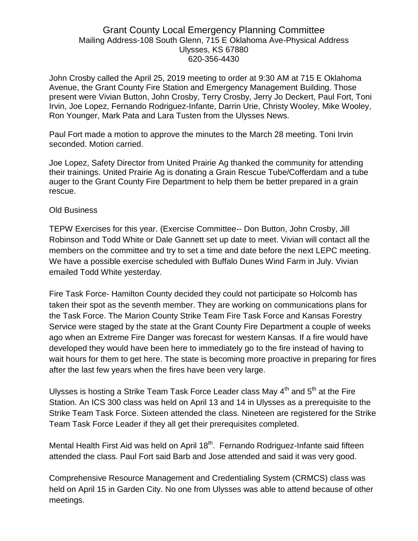# Grant County Local Emergency Planning Committee Mailing Address-108 South Glenn, 715 E Oklahoma Ave-Physical Address Ulysses, KS 67880 620-356-4430

John Crosby called the April 25, 2019 meeting to order at 9:30 AM at 715 E Oklahoma Avenue, the Grant County Fire Station and Emergency Management Building. Those present were Vivian Button, John Crosby, Terry Crosby, Jerry Jo Deckert, Paul Fort, Toni Irvin, Joe Lopez, Fernando Rodriguez-Infante, Darrin Urie, Christy Wooley, Mike Wooley, Ron Younger, Mark Pata and Lara Tusten from the Ulysses News.

Paul Fort made a motion to approve the minutes to the March 28 meeting. Toni Irvin seconded. Motion carried.

Joe Lopez, Safety Director from United Prairie Ag thanked the community for attending their trainings. United Prairie Ag is donating a Grain Rescue Tube/Cofferdam and a tube auger to the Grant County Fire Department to help them be better prepared in a grain rescue.

### Old Business

TEPW Exercises for this year. (Exercise Committee-- Don Button, John Crosby, Jill Robinson and Todd White or Dale Gannett set up date to meet. Vivian will contact all the members on the committee and try to set a time and date before the next LEPC meeting. We have a possible exercise scheduled with Buffalo Dunes Wind Farm in July. Vivian emailed Todd White yesterday.

Fire Task Force- Hamilton County decided they could not participate so Holcomb has taken their spot as the seventh member. They are working on communications plans for the Task Force. The Marion County Strike Team Fire Task Force and Kansas Forestry Service were staged by the state at the Grant County Fire Department a couple of weeks ago when an Extreme Fire Danger was forecast for western Kansas. If a fire would have developed they would have been here to immediately go to the fire instead of having to wait hours for them to get here. The state is becoming more proactive in preparing for fires after the last few years when the fires have been very large.

Ulysses is hosting a Strike Team Task Force Leader class May  $4^{th}$  and  $5^{th}$  at the Fire Station. An ICS 300 class was held on April 13 and 14 in Ulysses as a prerequisite to the Strike Team Task Force. Sixteen attended the class. Nineteen are registered for the Strike Team Task Force Leader if they all get their prerequisites completed.

Mental Health First Aid was held on April 18<sup>th</sup>. Fernando Rodriguez-Infante said fifteen attended the class. Paul Fort said Barb and Jose attended and said it was very good.

Comprehensive Resource Management and Credentialing System (CRMCS) class was held on April 15 in Garden City. No one from Ulysses was able to attend because of other meetings.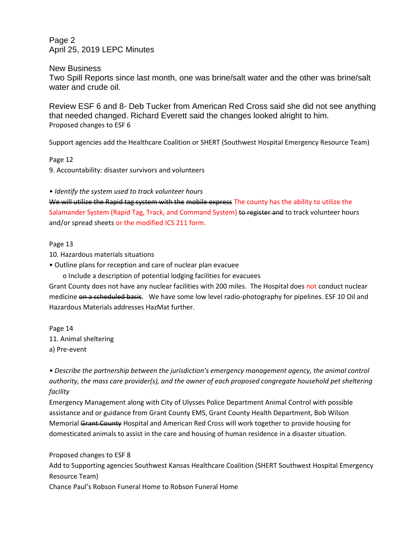Page 2 April 25, 2019 LEPC Minutes

New Business Two Spill Reports since last month, one was brine/salt water and the other was brine/salt water and crude oil.

Review ESF 6 and 8- Deb Tucker from American Red Cross said she did not see anything that needed changed. Richard Everett said the changes looked alright to him. Proposed changes to ESF 6

Support agencies add the Healthcare Coalition or SHERT (Southwest Hospital Emergency Resource Team)

Page 12

9. Accountability: disaster survivors and volunteers

*• Identify the system used to track volunteer hours*

We will utilize the Rapid tag system with the mobile express The county has the ability to utilize the Salamander System (Rapid Tag, Track, and Command System) to register and to track volunteer hours and/or spread sheets or the modified ICS 211 form.

#### Page 13

10. Hazardous materials situations

• Outline plans for reception and care of nuclear plan evacuee

o Include a description of potential lodging facilities for evacuees

Grant County does not have any nuclear facilities with 200 miles. The Hospital does not conduct nuclear medicine on a scheduled basis. We have some low level radio-photography for pipelines. ESF 10 Oil and Hazardous Materials addresses HazMat further.

Page 14 11. Animal sheltering a) Pre-event

*• Describe the partnership between the jurisdiction's emergency management agency, the animal control authority, the mass care provider(s), and the owner of each proposed congregate household pet sheltering facility*

Emergency Management along with City of Ulysses Police Department Animal Control with possible assistance and or guidance from Grant County EMS, Grant County Health Department, Bob Wilson Memorial Grant County Hospital and American Red Cross will work together to provide housing for domesticated animals to assist in the care and housing of human residence in a disaster situation.

Proposed changes to ESF 8

Add to Supporting agencies Southwest Kansas Healthcare Coalition (SHERT Southwest Hospital Emergency Resource Team)

Chance Paul's Robson Funeral Home to Robson Funeral Home